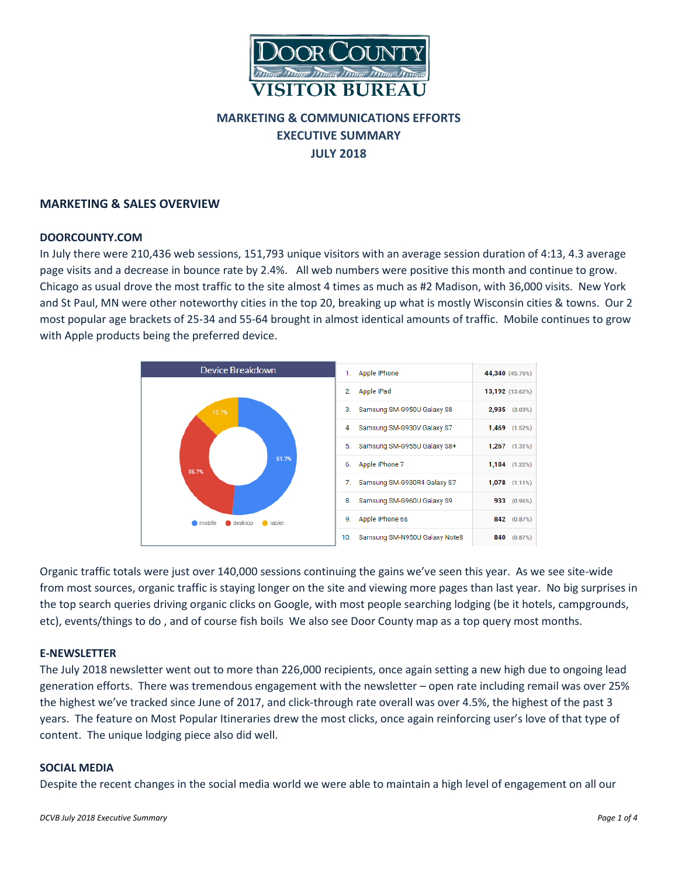

# **MARKETING & COMMUNICATIONS EFFORTS EXECUTIVE SUMMARY JULY 2018**

### **MARKETING & SALES OVERVIEW**

### **DOORCOUNTY.COM**

In July there were 210,436 web sessions, 151,793 unique visitors with an average session duration of 4:13, 4.3 average page visits and a decrease in bounce rate by 2.4%. All web numbers were positive this month and continue to grow. Chicago as usual drove the most traffic to the site almost 4 times as much as #2 Madison, with 36,000 visits. New York and St Paul, MN were other noteworthy cities in the top 20, breaking up what is mostly Wisconsin cities & towns. Our 2 most popular age brackets of 25-34 and 55-64 brought in almost identical amounts of traffic. Mobile continues to grow with Apple products being the preferred device.



Organic traffic totals were just over 140,000 sessions continuing the gains we've seen this year. As we see site-wide from most sources, organic traffic is staying longer on the site and viewing more pages than last year. No big surprises in the top search queries driving organic clicks on Google, with most people searching lodging (be it hotels, campgrounds, etc), events/things to do , and of course fish boils We also see Door County map as a top query most months.

### **E-NEWSLETTER**

The July 2018 newsletter went out to more than 226,000 recipients, once again setting a new high due to ongoing lead generation efforts. There was tremendous engagement with the newsletter – open rate including remail was over 25% the highest we've tracked since June of 2017, and click-through rate overall was over 4.5%, the highest of the past 3 years. The feature on Most Popular Itineraries drew the most clicks, once again reinforcing user's love of that type of content. The unique lodging piece also did well.

### **SOCIAL MEDIA**

Despite the recent changes in the social media world we were able to maintain a high level of engagement on all our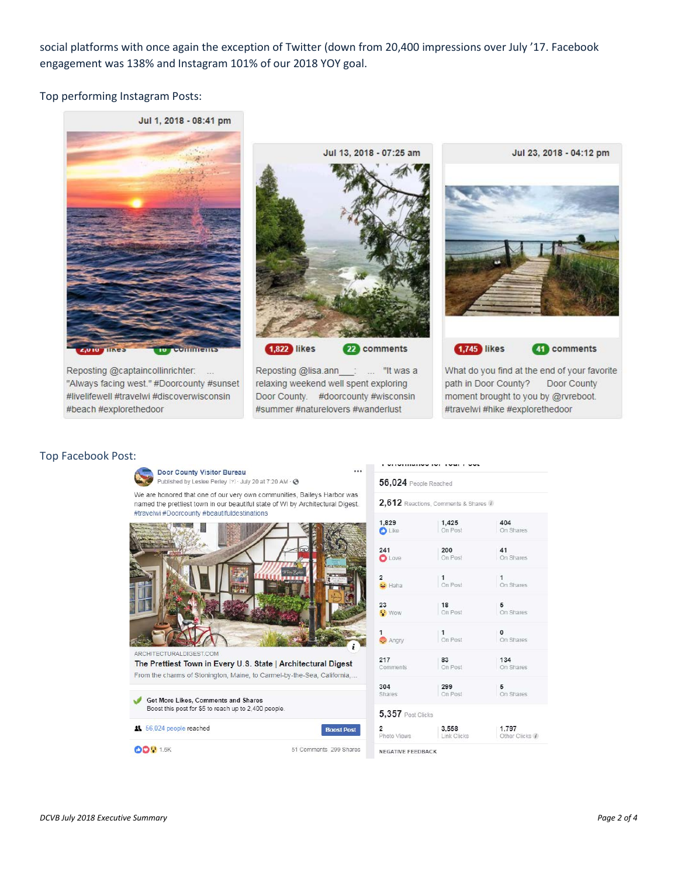social platforms with once again the exception of Twitter (down from 20,400 impressions over July '17. Facebook engagement was 138% and Instagram 101% of our 2018 YOY goal.

Top performing Instagram Posts:

# Jul 1, 2018 - 08:41 pm

Reposting @captaincollinrichter: ... "Always facing west." #Doorcounty #sunset #livelifewell #travelwi #discoverwisconsin #beach #explorethedoor

Jul 13, 2018 - 07:25 am **1,822** likes 22 comments

Reposting @lisa.ann : ... "It was a relaxing weekend well spent exploring Door County. #doorcounty #wisconsin #summer #naturelovers #wanderlust

 $\cdots$ 



**1,745** likes

41 comments

What do you find at the end of your favorite path in Door County? Door County moment brought to you by @rvreboot. #travelwi #hike #explorethedoor

### Top Facebook Post:



|                                | 2,612 Reactions, Comments & Shares 1 |                         |
|--------------------------------|--------------------------------------|-------------------------|
| 1,829<br><b>D</b> Like         | 1,425<br>On Post                     | 404<br>On Shares        |
| 241<br><b>O</b> Love           | 200<br>On Post                       | 41<br>On Shares         |
| 2<br>z<br><mark>≥s</mark> Haha | $\frac{1}{2}$ On Post                | $\vert$ 1 On Shares     |
| 23<br><b>Wow</b>               | 18<br>On Post                        | $\frac{5}{2}$ On Shares |
| 1<br>$\rightarrow$ Angry       | $\frac{1}{2}$ On Post                | O<br>On Shares          |
| 217<br>Comments                | 83<br>On Post                        | 134<br>On Shares        |
| 304<br>Shares                  | 299<br>On Post                       | 5<br>On Shares          |
| $5,357$ Post Clicks            |                                      |                         |
| 2<br>Photo Views               | 3,558<br>Link Clicks                 | 1,797<br>Other Clicks 1 |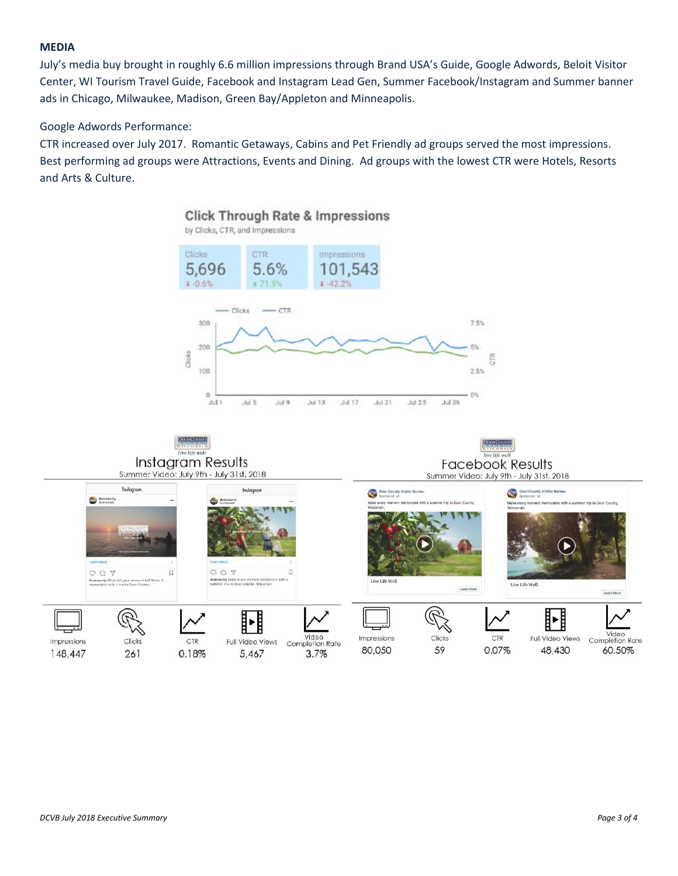### **MEDIA**

July's media buy brought in roughly 6.6 million impressions through Brand USA's Guide, Google Adwords, Beloit Visitor Center, WI Tourism Travel Guide, Facebook and Instagram Lead Gen, Summer Facebook/Instagram and Summer banner ads in Chicago, Milwaukee, Madison, Green Bay/Appleton and Minneapolis.

### Google Adwords Performance:

CTR increased over July 2017. Romantic Getaways, Cabins and Pet Friendly ad groups served the most impressions. Best performing ad groups were Attractions, Events and Dining. Ad groups with the lowest CTR were Hotels, Resorts and Arts & Culture.